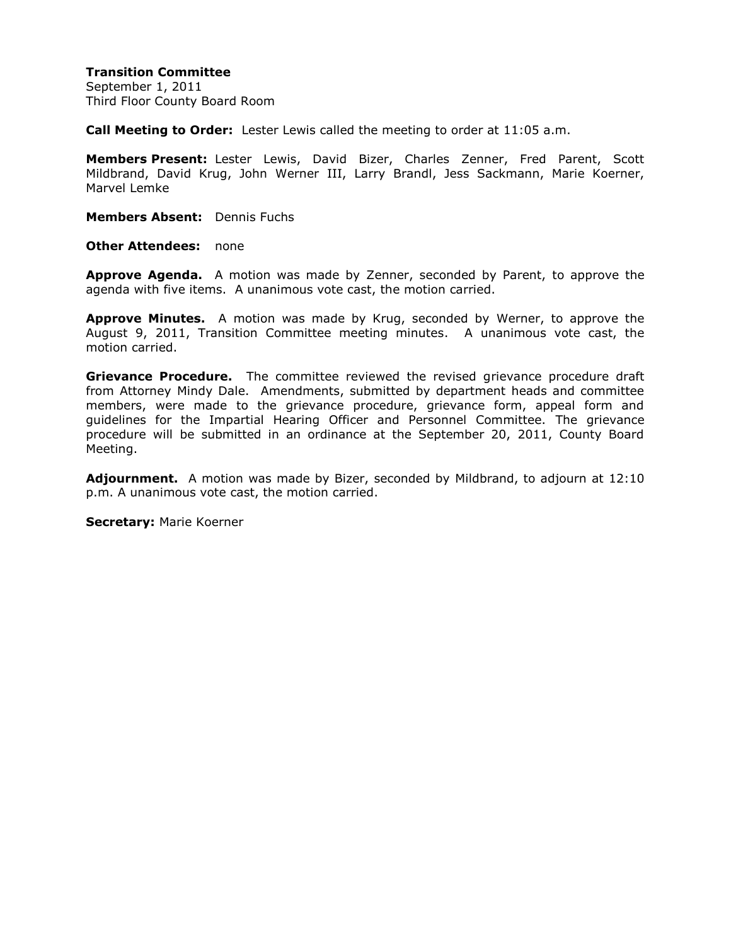## **Transition Committee**

September 1, 2011 Third Floor County Board Room

**Call Meeting to Order:** Lester Lewis called the meeting to order at 11:05 a.m.

**Members Present:** Lester Lewis, David Bizer, Charles Zenner, Fred Parent, Scott Mildbrand, David Krug, John Werner III, Larry Brandl, Jess Sackmann, Marie Koerner, Marvel Lemke

**Members Absent:** Dennis Fuchs

**Other Attendees:** none

**Approve Agenda.** A motion was made by Zenner, seconded by Parent, to approve the agenda with five items. A unanimous vote cast, the motion carried.

**Approve Minutes.** A motion was made by Krug, seconded by Werner, to approve the August 9, 2011, Transition Committee meeting minutes. A unanimous vote cast, the motion carried.

**Grievance Procedure.** The committee reviewed the revised grievance procedure draft from Attorney Mindy Dale. Amendments, submitted by department heads and committee members, were made to the grievance procedure, grievance form, appeal form and guidelines for the Impartial Hearing Officer and Personnel Committee. The grievance procedure will be submitted in an ordinance at the September 20, 2011, County Board Meeting.

**Adjournment.** A motion was made by Bizer, seconded by Mildbrand, to adjourn at 12:10 p.m. A unanimous vote cast, the motion carried.

**Secretary:** Marie Koerner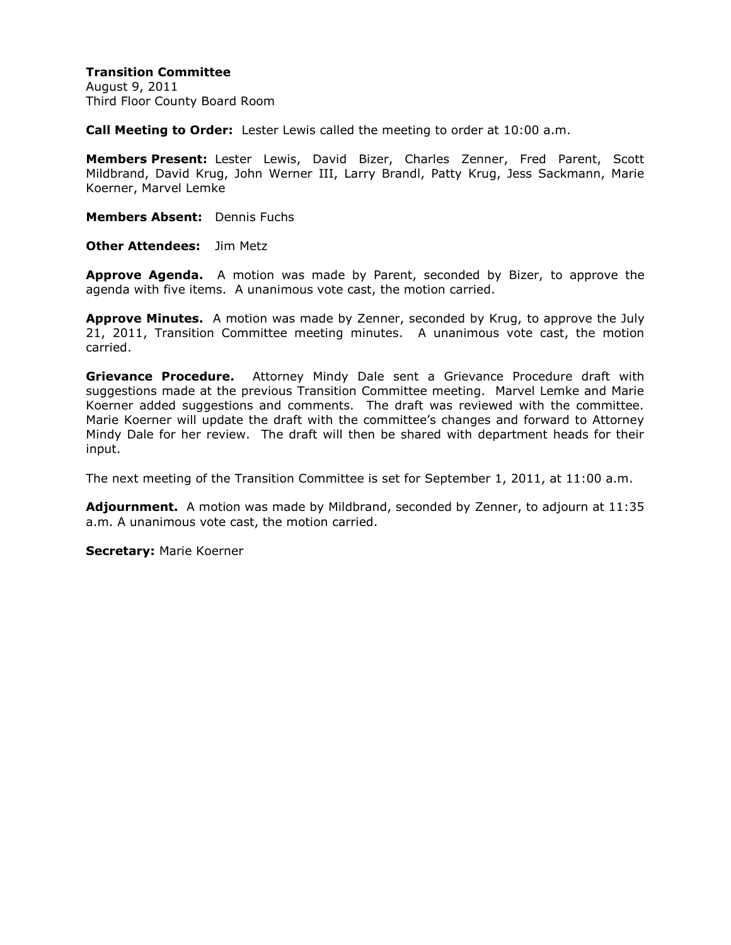## **Transition Committee**

August 9, 2011 Third Floor County Board Room

**Call Meeting to Order:** Lester Lewis called the meeting to order at 10:00 a.m.

**Members Present:** Lester Lewis, David Bizer, Charles Zenner, Fred Parent, Scott Mildbrand, David Krug, John Werner III, Larry Brandl, Patty Krug, Jess Sackmann, Marie Koerner, Marvel Lemke

**Members Absent:** Dennis Fuchs

**Other Attendees:** Jim Metz

**Approve Agenda.** A motion was made by Parent, seconded by Bizer, to approve the agenda with five items. A unanimous vote cast, the motion carried.

**Approve Minutes.** A motion was made by Zenner, seconded by Krug, to approve the July 21, 2011, Transition Committee meeting minutes. A unanimous vote cast, the motion carried.

**Grievance Procedure.** Attorney Mindy Dale sent a Grievance Procedure draft with suggestions made at the previous Transition Committee meeting. Marvel Lemke and Marie Koerner added suggestions and comments. The draft was reviewed with the committee. Marie Koerner will update the draft with the committee's changes and forward to Attorney Mindy Dale for her review. The draft will then be shared with department heads for their input.

The next meeting of the Transition Committee is set for September 1, 2011, at 11:00 a.m.

**Adjournment.** A motion was made by Mildbrand, seconded by Zenner, to adjourn at 11:35 a.m. A unanimous vote cast, the motion carried.

**Secretary:** Marie Koerner